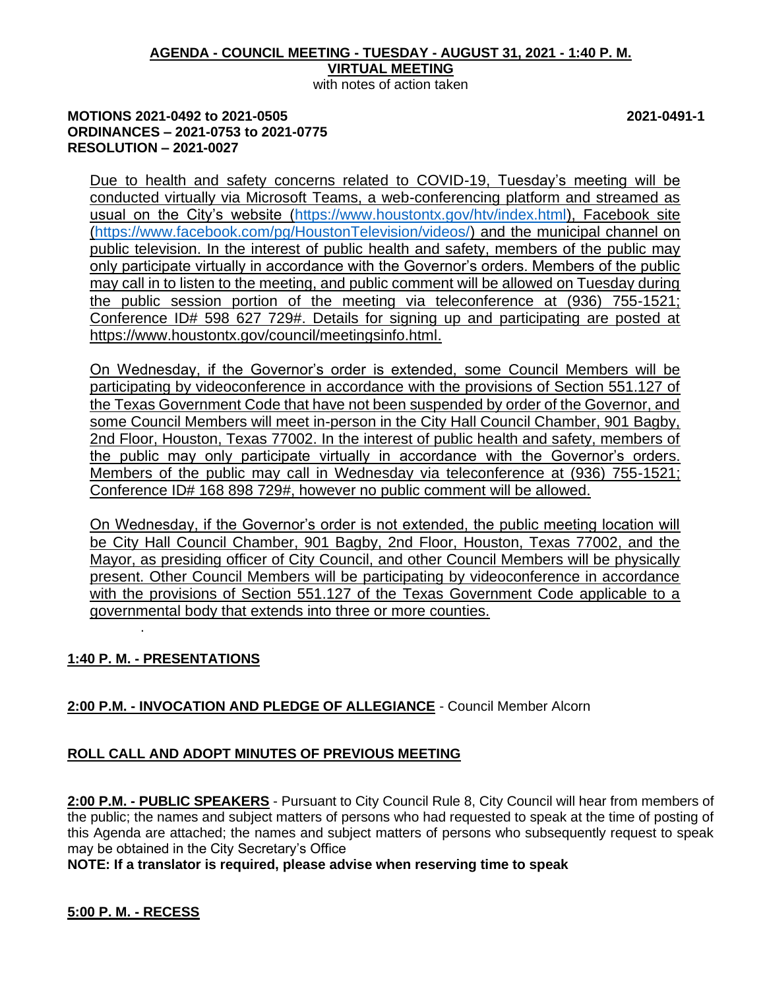# **AGENDA - COUNCIL MEETING - TUESDAY - AUGUST 31, 2021 - 1:40 P. M. VIRTUAL MEETING**

with notes of action taken

## **MOTIONS 2021-0492 to 2021-0505 2021-0491-1 ORDINANCES – 2021-0753 to 2021-0775 RESOLUTION – 2021-0027**

Due to health and safety concerns related to COVID-19, Tuesday's meeting will be conducted virtually via Microsoft Teams, a web-conferencing platform and streamed as usual on the City's website [\(https://www.houstontx.gov/htv/index.html\)](https://www.houstontx.gov/htv/index.html), Facebook site [\(https://www.facebook.com/pg/HoustonTelevision/videos/\)](https://www.facebook.com/pg/HoustonTelevision/videos/) and the municipal channel on public television. In the interest of public health and safety, members of the public may only participate virtually in accordance with the Governor's orders. Members of the public may call in to listen to the meeting, and public comment will be allowed on Tuesday during the public session portion of the meeting via teleconference at (936) 755-1521; Conference ID# 598 627 729#. Details for signing up and participating are posted at [https://www.houstontx.gov/council/meetingsinfo.html.](https://www.houstontx.gov/council/meetingsinfo.html)

On Wednesday, if the Governor's order is extended, some Council Members will be participating by videoconference in accordance with the provisions of Section 551.127 of the Texas Government Code that have not been suspended by order of the Governor, and some Council Members will meet in-person in the City Hall Council Chamber, 901 Bagby, 2nd Floor, Houston, Texas 77002. In the interest of public health and safety, members of the public may only participate virtually in accordance with the Governor's orders. Members of the public may call in Wednesday via teleconference at (936) 755-1521; Conference ID# 168 898 729#, however no public comment will be allowed.

On Wednesday, if the Governor's order is not extended, the public meeting location will be City Hall Council Chamber, 901 Bagby, 2nd Floor, Houston, Texas 77002, and the Mayor, as presiding officer of City Council, and other Council Members will be physically present. Other Council Members will be participating by videoconference in accordance with the provisions of Section 551.127 of the Texas Government Code applicable to a governmental body that extends into three or more counties.

# **1:40 P. M. - PRESENTATIONS**

.

# **2:00 P.M. - INVOCATION AND PLEDGE OF ALLEGIANCE** - Council Member Alcorn

# **ROLL CALL AND ADOPT MINUTES OF PREVIOUS MEETING**

**2:00 P.M. - PUBLIC SPEAKERS** - Pursuant to City Council Rule 8, City Council will hear from members of the public; the names and subject matters of persons who had requested to speak at the time of posting of this Agenda are attached; the names and subject matters of persons who subsequently request to speak may be obtained in the City Secretary's Office

**NOTE: If a translator is required, please advise when reserving time to speak**

## **5:00 P. M. - RECESS**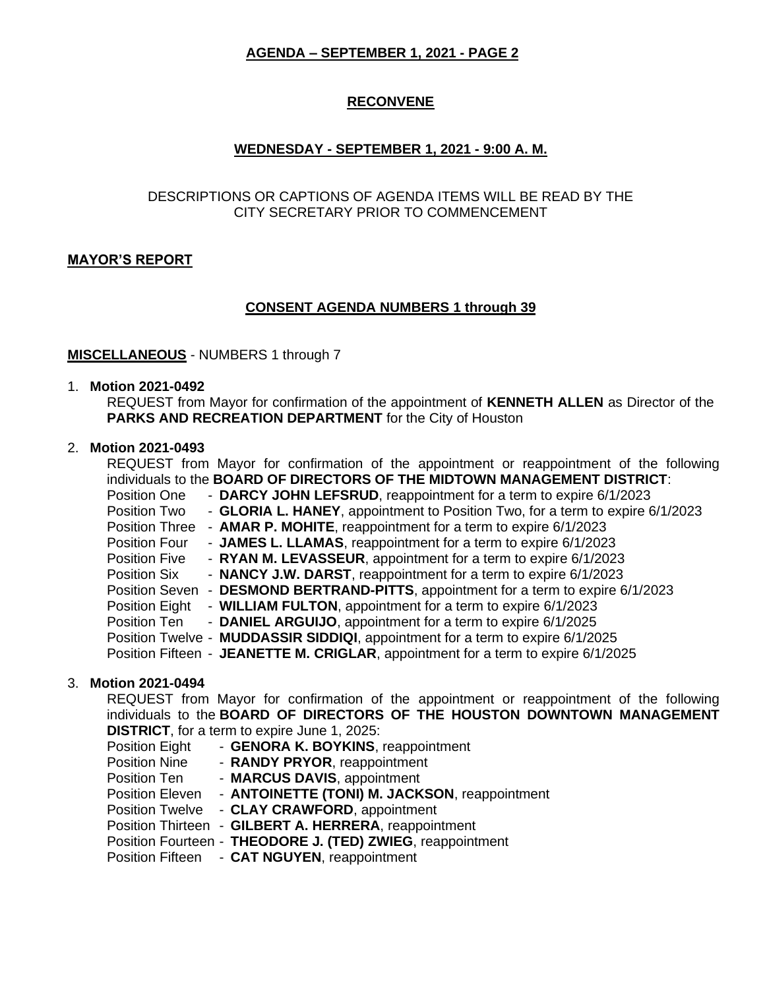# **RECONVENE**

# **WEDNESDAY - SEPTEMBER 1, 2021 - 9:00 A. M.**

## DESCRIPTIONS OR CAPTIONS OF AGENDA ITEMS WILL BE READ BY THE CITY SECRETARY PRIOR TO COMMENCEMENT

## **MAYOR'S REPORT**

## **CONSENT AGENDA NUMBERS 1 through 39**

### **MISCELLANEOUS** - NUMBERS 1 through 7

#### 1. **Motion 2021-0492**

REQUEST from Mayor for confirmation of the appointment of **KENNETH ALLEN** as Director of the **PARKS AND RECREATION DEPARTMENT** for the City of Houston

### 2. **Motion 2021-0493**

|                      | REQUEST from Mayor for confirmation of the appointment or reappointment of the following<br>individuals to the BOARD OF DIRECTORS OF THE MIDTOWN MANAGEMENT DISTRICT: |
|----------------------|-----------------------------------------------------------------------------------------------------------------------------------------------------------------------|
| Position One         | - DARCY JOHN LEFSRUD, reappointment for a term to expire 6/1/2023                                                                                                     |
| Position Two         | - GLORIA L. HANEY, appointment to Position Two, for a term to expire 6/1/2023                                                                                         |
|                      | Position Three - AMAR P. MOHITE, reappointment for a term to expire 6/1/2023                                                                                          |
| Position Four        | - JAMES L. LLAMAS, reappointment for a term to expire 6/1/2023                                                                                                        |
| <b>Position Five</b> | - RYAN M. LEVASSEUR, appointment for a term to expire 6/1/2023                                                                                                        |
| <b>Position Six</b>  | - NANCY J.W. DARST, reappointment for a term to expire 6/1/2023                                                                                                       |
|                      | Position Seven - DESMOND BERTRAND-PITTS, appointment for a term to expire 6/1/2023                                                                                    |
| Position Eight       | - WILLIAM FULTON, appointment for a term to expire 6/1/2023                                                                                                           |
| Position Ten         | - DANIEL ARGUIJO, appointment for a term to expire 6/1/2025                                                                                                           |
|                      | Position Twelve - MUDDASSIR SIDDIQI, appointment for a term to expire 6/1/2025                                                                                        |
|                      | Position Fifteen - JEANETTE M. CRIGLAR, appointment for a term to expire 6/1/2025                                                                                     |

### 3. **Motion 2021-0494**

REQUEST from Mayor for confirmation of the appointment or reappointment of the following individuals to the **BOARD OF DIRECTORS OF THE HOUSTON DOWNTOWN MANAGEMENT DISTRICT**, for a term to expire June 1, 2025:

| <b>Position Eight</b> |  | - GENORA K. BOYKINS, reappointment                         |
|-----------------------|--|------------------------------------------------------------|
| <b>Position Nine</b>  |  | - RANDY PRYOR, reappointment                               |
| Position Ten          |  | - MARCUS DAVIS, appointment                                |
| Position Eleven       |  | - ANTOINETTE (TONI) M. JACKSON, reappointment              |
|                       |  | Position Twelve - CLAY CRAWFORD, appointment               |
|                       |  | Position Thirteen - GILBERT A. HERRERA, reappointment      |
|                       |  | Position Fourteen - THEODORE J. (TED) ZWIEG, reappointment |
|                       |  | Position Fifteen - CAT NGUYEN, reappointment               |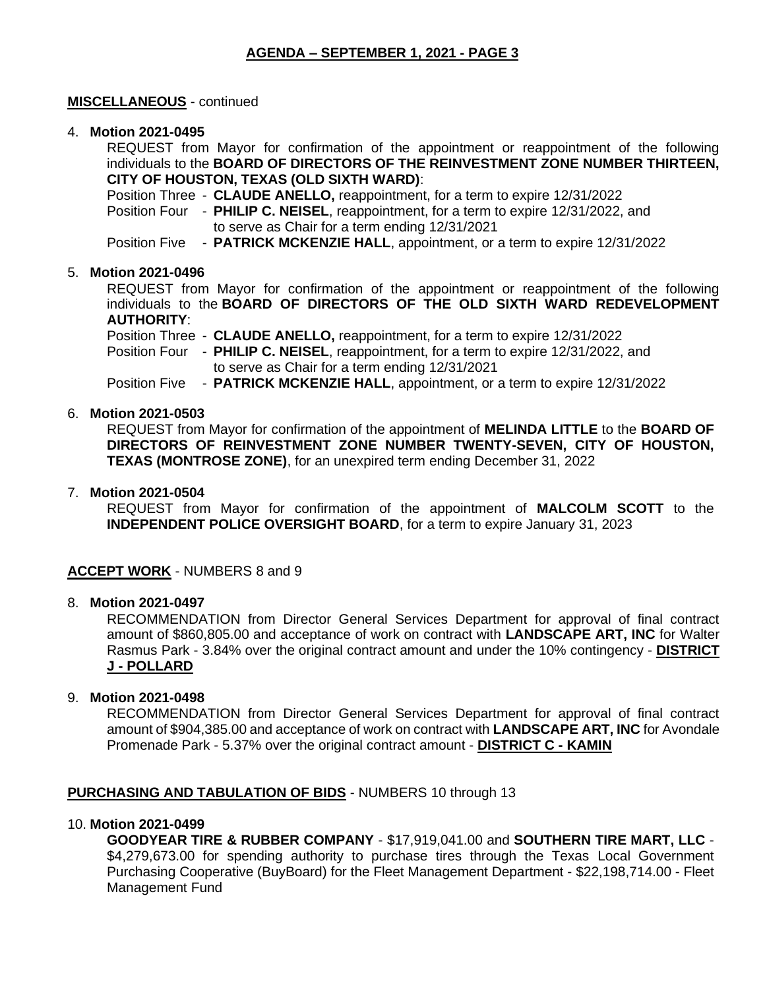## **MISCELLANEOUS** - continued

### 4. **Motion 2021-0495**

REQUEST from Mayor for confirmation of the appointment or reappointment of the following individuals to the **BOARD OF DIRECTORS OF THE REINVESTMENT ZONE NUMBER THIRTEEN, CITY OF HOUSTON, TEXAS (OLD SIXTH WARD)**:

Position Three - **CLAUDE ANELLO,** reappointment, for a term to expire 12/31/2022

Position Four - **PHILIP C. NEISEL**, reappointment, for a term to expire 12/31/2022, and to serve as Chair for a term ending 12/31/2021

Position Five - **PATRICK MCKENZIE HALL**, appointment, or a term to expire 12/31/2022

## 5. **Motion 2021-0496**

REQUEST from Mayor for confirmation of the appointment or reappointment of the following individuals to the **BOARD OF DIRECTORS OF THE OLD SIXTH WARD REDEVELOPMENT AUTHORITY**:

Position Three - **CLAUDE ANELLO,** reappointment, for a term to expire 12/31/2022 Position Four - **PHILIP C. NEISEL**, reappointment, for a term to expire 12/31/2022, and to serve as Chair for a term ending 12/31/2021 Position Five - **PATRICK MCKENZIE HALL**, appointment, or a term to expire 12/31/2022

### 6. **Motion 2021-0503**

REQUEST from Mayor for confirmation of the appointment of **MELINDA LITTLE** to the **BOARD OF DIRECTORS OF REINVESTMENT ZONE NUMBER TWENTY-SEVEN, CITY OF HOUSTON, TEXAS (MONTROSE ZONE)**, for an unexpired term ending December 31, 2022

#### 7. **Motion 2021-0504**

REQUEST from Mayor for confirmation of the appointment of **MALCOLM SCOTT** to the **INDEPENDENT POLICE OVERSIGHT BOARD**, for a term to expire January 31, 2023

### **ACCEPT WORK** - NUMBERS 8 and 9

### 8. **Motion 2021-0497**

RECOMMENDATION from Director General Services Department for approval of final contract amount of \$860,805.00 and acceptance of work on contract with **LANDSCAPE ART, INC** for Walter Rasmus Park - 3.84% over the original contract amount and under the 10% contingency - **DISTRICT J - POLLARD**

### 9. **Motion 2021-0498**

RECOMMENDATION from Director General Services Department for approval of final contract amount of \$904,385.00 and acceptance of work on contract with **LANDSCAPE ART, INC** for Avondale Promenade Park - 5.37% over the original contract amount - **DISTRICT C - KAMIN**

## **PURCHASING AND TABULATION OF BIDS** - NUMBERS 10 through 13

## 10. **Motion 2021-0499**

**GOODYEAR TIRE & RUBBER COMPANY** - \$17,919,041.00 and **SOUTHERN TIRE MART, LLC** - \$4,279,673.00 for spending authority to purchase tires through the Texas Local Government Purchasing Cooperative (BuyBoard) for the Fleet Management Department - \$22,198,714.00 - Fleet Management Fund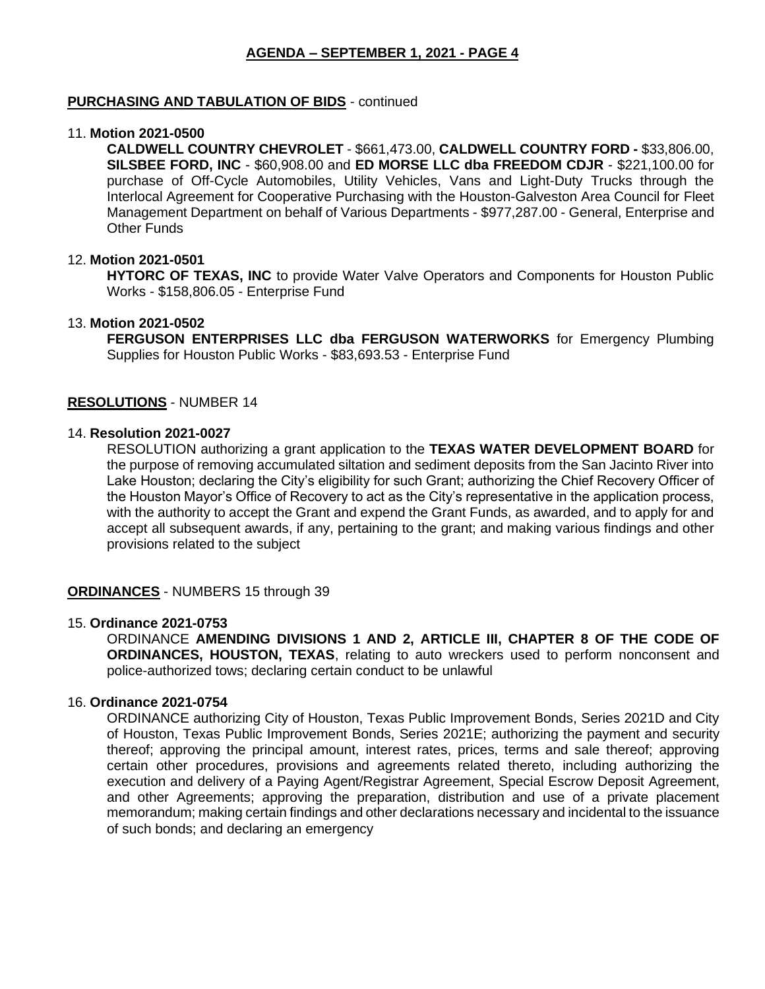### **PURCHASING AND TABULATION OF BIDS** - continued

#### 11. **Motion 2021-0500**

**CALDWELL COUNTRY CHEVROLET** - \$661,473.00, **CALDWELL COUNTRY FORD -** \$33,806.00, **SILSBEE FORD, INC** - \$60,908.00 and **ED MORSE LLC dba FREEDOM CDJR** - \$221,100.00 for purchase of Off-Cycle Automobiles, Utility Vehicles, Vans and Light-Duty Trucks through the Interlocal Agreement for Cooperative Purchasing with the Houston-Galveston Area Council for Fleet Management Department on behalf of Various Departments - \$977,287.00 - General, Enterprise and Other Funds

#### 12. **Motion 2021-0501**

**HYTORC OF TEXAS, INC** to provide Water Valve Operators and Components for Houston Public Works - \$158,806.05 - Enterprise Fund

#### 13. **Motion 2021-0502**

**FERGUSON ENTERPRISES LLC dba FERGUSON WATERWORKS** for Emergency Plumbing Supplies for Houston Public Works - \$83,693.53 - Enterprise Fund

#### **RESOLUTIONS** - NUMBER 14

## 14. **Resolution 2021-0027**

RESOLUTION authorizing a grant application to the **TEXAS WATER DEVELOPMENT BOARD** for the purpose of removing accumulated siltation and sediment deposits from the San Jacinto River into Lake Houston; declaring the City's eligibility for such Grant; authorizing the Chief Recovery Officer of the Houston Mayor's Office of Recovery to act as the City's representative in the application process, with the authority to accept the Grant and expend the Grant Funds, as awarded, and to apply for and accept all subsequent awards, if any, pertaining to the grant; and making various findings and other provisions related to the subject

### **ORDINANCES** - NUMBERS 15 through 39

#### 15. **Ordinance 2021-0753**

ORDINANCE **AMENDING DIVISIONS 1 AND 2, ARTICLE III, CHAPTER 8 OF THE CODE OF ORDINANCES, HOUSTON, TEXAS**, relating to auto wreckers used to perform nonconsent and police-authorized tows; declaring certain conduct to be unlawful

#### 16. **Ordinance 2021-0754**

ORDINANCE authorizing City of Houston, Texas Public Improvement Bonds, Series 2021D and City of Houston, Texas Public Improvement Bonds, Series 2021E; authorizing the payment and security thereof; approving the principal amount, interest rates, prices, terms and sale thereof; approving certain other procedures, provisions and agreements related thereto, including authorizing the execution and delivery of a Paying Agent/Registrar Agreement, Special Escrow Deposit Agreement, and other Agreements; approving the preparation, distribution and use of a private placement memorandum; making certain findings and other declarations necessary and incidental to the issuance of such bonds; and declaring an emergency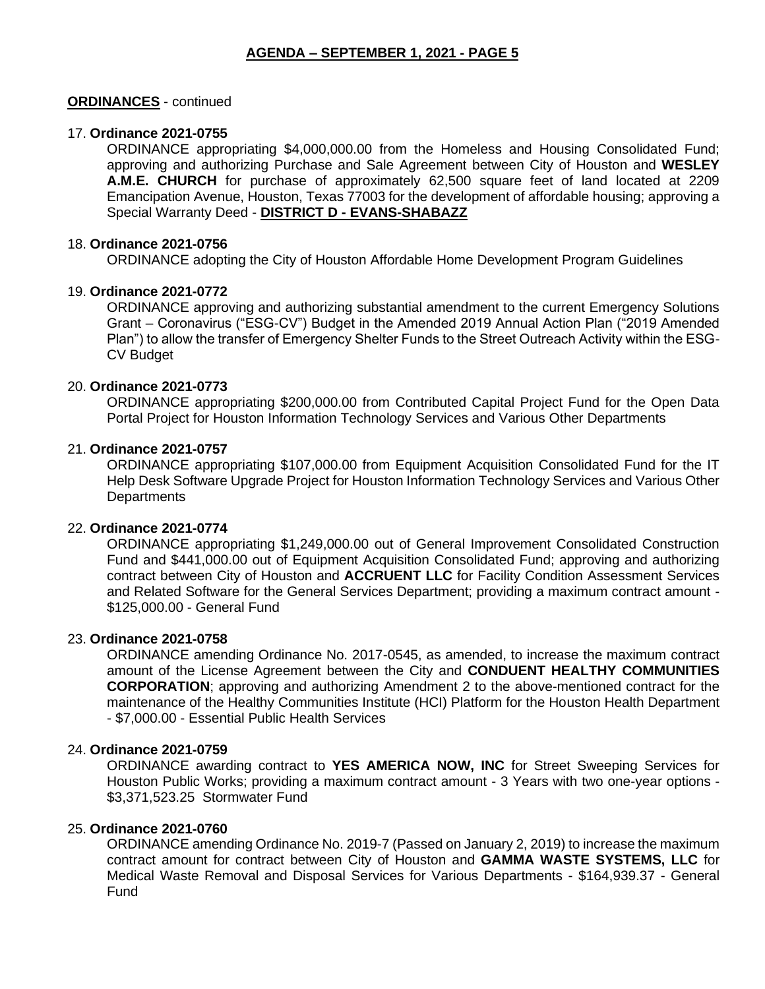## **ORDINANCES** - continued

### 17. **Ordinance 2021-0755**

ORDINANCE appropriating \$4,000,000.00 from the Homeless and Housing Consolidated Fund; approving and authorizing Purchase and Sale Agreement between City of Houston and **WESLEY A.M.E. CHURCH** for purchase of approximately 62,500 square feet of land located at 2209 Emancipation Avenue, Houston, Texas 77003 for the development of affordable housing; approving a Special Warranty Deed - **DISTRICT D - EVANS-SHABAZZ**

#### 18. **Ordinance 2021-0756**

ORDINANCE adopting the City of Houston Affordable Home Development Program Guidelines

### 19. **Ordinance 2021-0772**

ORDINANCE approving and authorizing substantial amendment to the current Emergency Solutions Grant – Coronavirus ("ESG-CV") Budget in the Amended 2019 Annual Action Plan ("2019 Amended Plan") to allow the transfer of Emergency Shelter Funds to the Street Outreach Activity within the ESG-CV Budget

#### 20. **Ordinance 2021-0773**

ORDINANCE appropriating \$200,000.00 from Contributed Capital Project Fund for the Open Data Portal Project for Houston Information Technology Services and Various Other Departments

#### 21. **Ordinance 2021-0757**

ORDINANCE appropriating \$107,000.00 from Equipment Acquisition Consolidated Fund for the IT Help Desk Software Upgrade Project for Houston Information Technology Services and Various Other **Departments** 

### 22. **Ordinance 2021-0774**

ORDINANCE appropriating \$1,249,000.00 out of General Improvement Consolidated Construction Fund and \$441,000.00 out of Equipment Acquisition Consolidated Fund; approving and authorizing contract between City of Houston and **ACCRUENT LLC** for Facility Condition Assessment Services and Related Software for the General Services Department; providing a maximum contract amount - \$125,000.00 - General Fund

#### 23. **Ordinance 2021-0758**

ORDINANCE amending Ordinance No. 2017-0545, as amended, to increase the maximum contract amount of the License Agreement between the City and **CONDUENT HEALTHY COMMUNITIES CORPORATION**; approving and authorizing Amendment 2 to the above-mentioned contract for the maintenance of the Healthy Communities Institute (HCI) Platform for the Houston Health Department - \$7,000.00 - Essential Public Health Services

## 24. **Ordinance 2021-0759**

ORDINANCE awarding contract to **YES AMERICA NOW, INC** for Street Sweeping Services for Houston Public Works; providing a maximum contract amount - 3 Years with two one-year options - \$3,371,523.25 Stormwater Fund

### 25. **Ordinance 2021-0760**

ORDINANCE amending Ordinance No. 2019-7 (Passed on January 2, 2019) to increase the maximum contract amount for contract between City of Houston and **GAMMA WASTE SYSTEMS, LLC** for Medical Waste Removal and Disposal Services for Various Departments - \$164,939.37 - General Fund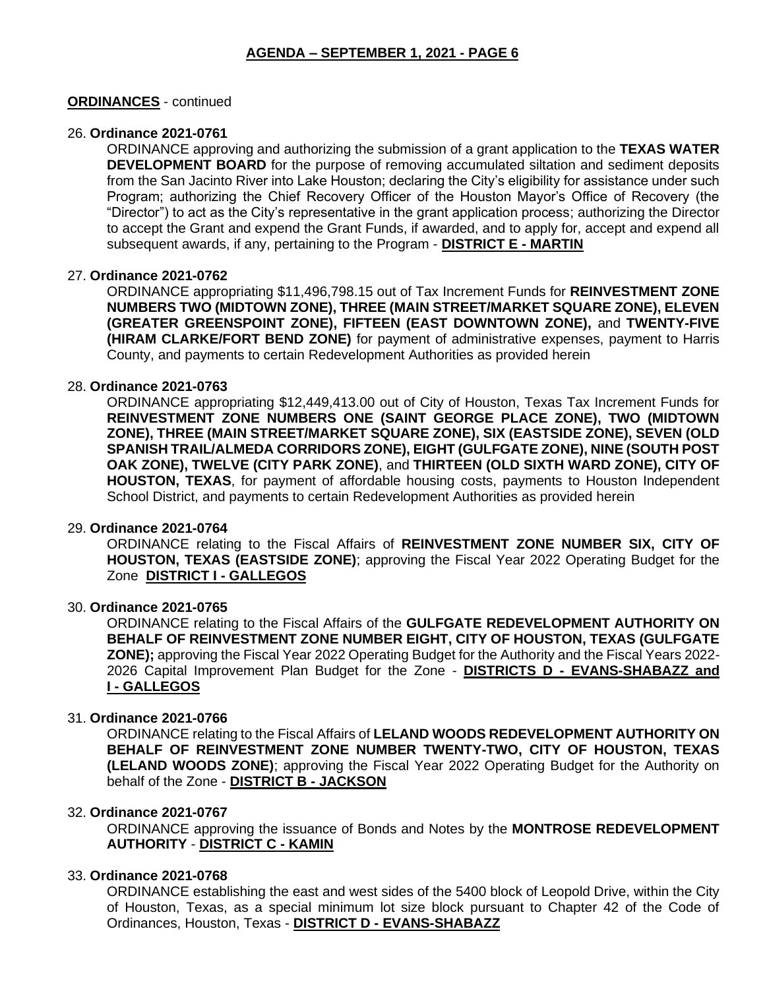### **ORDINANCES** - continued

#### 26. **Ordinance 2021-0761**

ORDINANCE approving and authorizing the submission of a grant application to the **TEXAS WATER DEVELOPMENT BOARD** for the purpose of removing accumulated siltation and sediment deposits from the San Jacinto River into Lake Houston; declaring the City's eligibility for assistance under such Program; authorizing the Chief Recovery Officer of the Houston Mayor's Office of Recovery (the "Director") to act as the City's representative in the grant application process; authorizing the Director to accept the Grant and expend the Grant Funds, if awarded, and to apply for, accept and expend all subsequent awards, if any, pertaining to the Program - **DISTRICT E - MARTIN**

## 27. **Ordinance 2021-0762**

ORDINANCE appropriating \$11,496,798.15 out of Tax Increment Funds for **REINVESTMENT ZONE NUMBERS TWO (MIDTOWN ZONE), THREE (MAIN STREET/MARKET SQUARE ZONE), ELEVEN (GREATER GREENSPOINT ZONE), FIFTEEN (EAST DOWNTOWN ZONE),** and **TWENTY-FIVE (HIRAM CLARKE/FORT BEND ZONE)** for payment of administrative expenses, payment to Harris County, and payments to certain Redevelopment Authorities as provided herein

#### 28. **Ordinance 2021-0763**

ORDINANCE appropriating \$12,449,413.00 out of City of Houston, Texas Tax Increment Funds for **REINVESTMENT ZONE NUMBERS ONE (SAINT GEORGE PLACE ZONE), TWO (MIDTOWN ZONE), THREE (MAIN STREET/MARKET SQUARE ZONE), SIX (EASTSIDE ZONE), SEVEN (OLD SPANISH TRAIL/ALMEDA CORRIDORS ZONE), EIGHT (GULFGATE ZONE), NINE (SOUTH POST OAK ZONE), TWELVE (CITY PARK ZONE)**, and **THIRTEEN (OLD SIXTH WARD ZONE), CITY OF HOUSTON, TEXAS**, for payment of affordable housing costs, payments to Houston Independent School District, and payments to certain Redevelopment Authorities as provided herein

#### 29. **Ordinance 2021-0764**

ORDINANCE relating to the Fiscal Affairs of **REINVESTMENT ZONE NUMBER SIX, CITY OF HOUSTON, TEXAS (EASTSIDE ZONE)**; approving the Fiscal Year 2022 Operating Budget for the Zone **DISTRICT I - GALLEGOS**

#### 30. **Ordinance 2021-0765**

ORDINANCE relating to the Fiscal Affairs of the **GULFGATE REDEVELOPMENT AUTHORITY ON BEHALF OF REINVESTMENT ZONE NUMBER EIGHT, CITY OF HOUSTON, TEXAS (GULFGATE ZONE);** approving the Fiscal Year 2022 Operating Budget for the Authority and the Fiscal Years 2022- 2026 Capital Improvement Plan Budget for the Zone - **DISTRICTS D - EVANS-SHABAZZ and I - GALLEGOS**

#### 31. **Ordinance 2021-0766**

ORDINANCE relating to the Fiscal Affairs of **LELAND WOODS REDEVELOPMENT AUTHORITY ON BEHALF OF REINVESTMENT ZONE NUMBER TWENTY-TWO, CITY OF HOUSTON, TEXAS (LELAND WOODS ZONE)**; approving the Fiscal Year 2022 Operating Budget for the Authority on behalf of the Zone - **DISTRICT B - JACKSON**

#### 32. **Ordinance 2021-0767**

ORDINANCE approving the issuance of Bonds and Notes by the **MONTROSE REDEVELOPMENT AUTHORITY** - **DISTRICT C - KAMIN**

## 33. **Ordinance 2021-0768**

ORDINANCE establishing the east and west sides of the 5400 block of Leopold Drive, within the City of Houston, Texas, as a special minimum lot size block pursuant to Chapter 42 of the Code of Ordinances, Houston, Texas - **DISTRICT D - EVANS-SHABAZZ**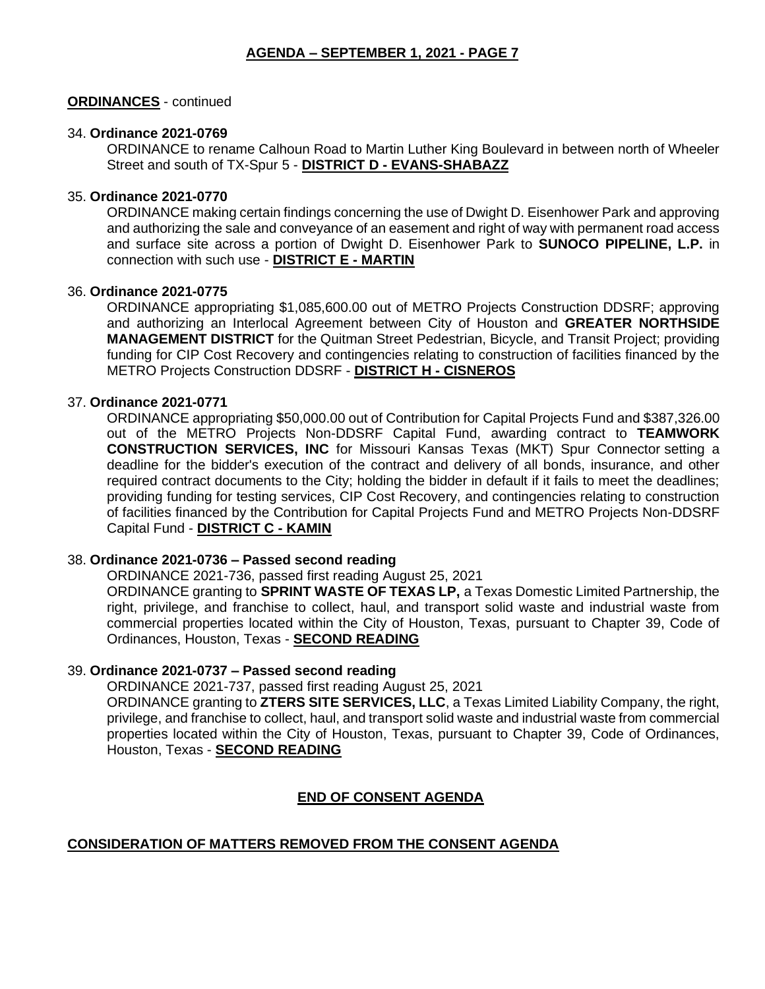## **ORDINANCES** - continued

### 34. **Ordinance 2021-0769**

ORDINANCE to rename Calhoun Road to Martin Luther King Boulevard in between north of Wheeler Street and south of TX-Spur 5 - **DISTRICT D - EVANS-SHABAZZ**

#### 35. **Ordinance 2021-0770**

ORDINANCE making certain findings concerning the use of Dwight D. Eisenhower Park and approving and authorizing the sale and conveyance of an easement and right of way with permanent road access and surface site across a portion of Dwight D. Eisenhower Park to **SUNOCO PIPELINE, L.P.** in connection with such use - **DISTRICT E - MARTIN**

#### 36. **Ordinance 2021-0775**

ORDINANCE appropriating \$1,085,600.00 out of METRO Projects Construction DDSRF; approving and authorizing an Interlocal Agreement between City of Houston and **GREATER NORTHSIDE MANAGEMENT DISTRICT** for the Quitman Street Pedestrian, Bicycle, and Transit Project; providing funding for CIP Cost Recovery and contingencies relating to construction of facilities financed by the METRO Projects Construction DDSRF - **DISTRICT H - CISNEROS**

#### 37. **Ordinance 2021-0771**

ORDINANCE appropriating \$50,000.00 out of Contribution for Capital Projects Fund and \$387,326.00 out of the METRO Projects Non-DDSRF Capital Fund, awarding contract to **TEAMWORK CONSTRUCTION SERVICES, INC** for Missouri Kansas Texas (MKT) Spur Connector setting a deadline for the bidder's execution of the contract and delivery of all bonds, insurance, and other required contract documents to the City; holding the bidder in default if it fails to meet the deadlines; providing funding for testing services, CIP Cost Recovery, and contingencies relating to construction of facilities financed by the Contribution for Capital Projects Fund and METRO Projects Non-DDSRF Capital Fund - **DISTRICT C - KAMIN**

### 38. **Ordinance 2021-0736 – Passed second reading**

ORDINANCE 2021-736, passed first reading August 25, 2021

ORDINANCE granting to **SPRINT WASTE OF TEXAS LP,** a Texas Domestic Limited Partnership, the right, privilege, and franchise to collect, haul, and transport solid waste and industrial waste from commercial properties located within the City of Houston, Texas, pursuant to Chapter 39, Code of Ordinances, Houston, Texas - **SECOND READING**

### 39. **Ordinance 2021-0737 – Passed second reading**

ORDINANCE 2021-737, passed first reading August 25, 2021

ORDINANCE granting to **ZTERS SITE SERVICES, LLC**, a Texas Limited Liability Company, the right, privilege, and franchise to collect, haul, and transport solid waste and industrial waste from commercial properties located within the City of Houston, Texas, pursuant to Chapter 39, Code of Ordinances, Houston, Texas - **SECOND READING**

## **END OF CONSENT AGENDA**

## **CONSIDERATION OF MATTERS REMOVED FROM THE CONSENT AGENDA**